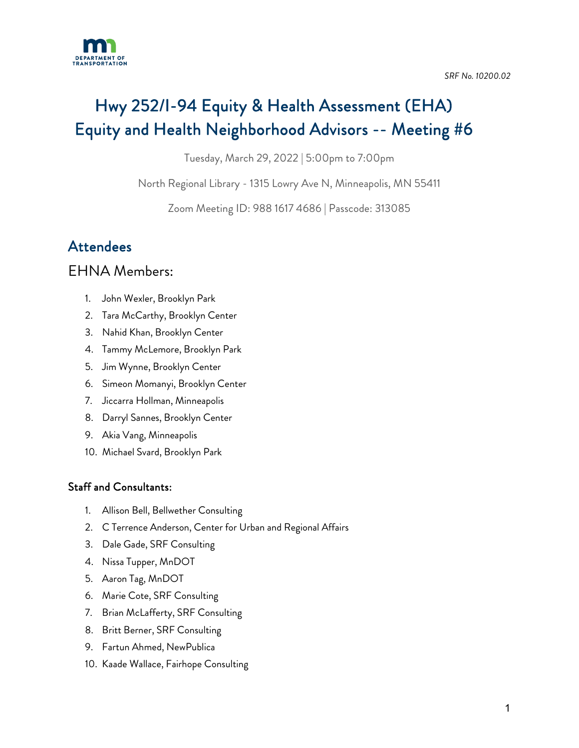

# Hwy 252/I-94 Equity & Health Assessment (EHA) Equity and Health Neighborhood Advisors -- Meeting #6

Tuesday, March 29, 2022 | 5:00pm to 7:00pm

North Regional Library - 1315 Lowry Ave N, Minneapolis, MN 55411

Zoom Meeting ID: 988 1617 4686 | Passcode: 313085

# **Attendees**

# EHNA Members:

- 1. John Wexler, Brooklyn Park
- 2. Tara McCarthy, Brooklyn Center
- 3. Nahid Khan, Brooklyn Center
- 4. Tammy McLemore, Brooklyn Park
- 5. Jim Wynne, Brooklyn Center
- 6. Simeon Momanyi, Brooklyn Center
- 7. Jiccarra Hollman, Minneapolis
- 8. Darryl Sannes, Brooklyn Center
- 9. Akia Vang, Minneapolis
- 10. Michael Svard, Brooklyn Park

#### Staff and Consultants:

- 1. Allison Bell, Bellwether Consulting
- 2. C Terrence Anderson, Center for Urban and Regional Affairs
- 3. Dale Gade, SRF Consulting
- 4. Nissa Tupper, MnDOT
- 5. Aaron Tag, MnDOT
- 6. Marie Cote, SRF Consulting
- 7. Brian McLafferty, SRF Consulting
- 8. Britt Berner, SRF Consulting
- 9. Fartun Ahmed, NewPublica
- 10. Kaade Wallace, Fairhope Consulting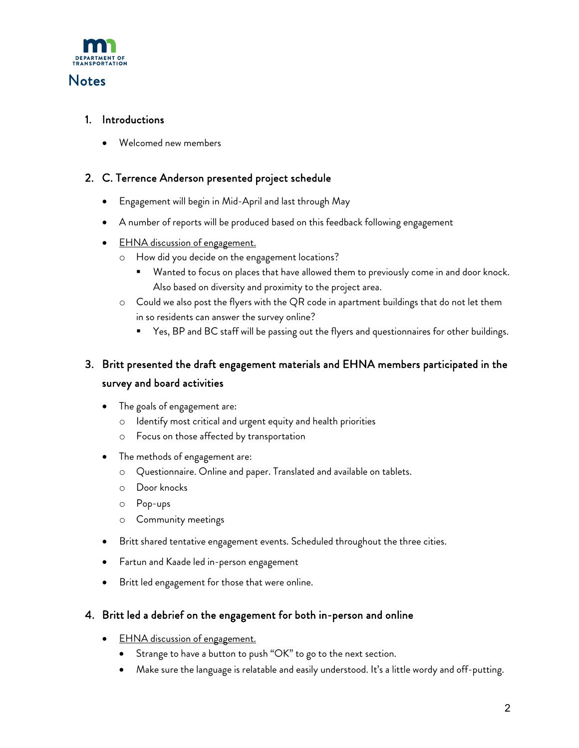

### **Notes**

#### 1. Introductions

• Welcomed new members

#### 2. C. Terrence Anderson presented project schedule

- Engagement will begin in Mid-April and last through May
- A number of reports will be produced based on this feedback following engagement
- EHNA discussion of engagement.
	- o How did you decide on the engagement locations?
		- Wanted to focus on places that have allowed them to previously come in and door knock. Also based on diversity and proximity to the project area.
	- o Could we also post the flyers with the QR code in apartment buildings that do not let them in so residents can answer the survey online?
		- **The Start** Sep and BC staff will be passing out the flyers and questionnaires for other buildings.

## 3. Britt presented the draft engagement materials and EHNA members participated in the survey and board activities

- The goals of engagement are:
	- o Identify most critical and urgent equity and health priorities
	- o Focus on those affected by transportation
- The methods of engagement are:
	- o Questionnaire. Online and paper. Translated and available on tablets.
	- o Door knocks
	- o Pop-ups
	- o Community meetings
- Britt shared tentative engagement events. Scheduled throughout the three cities.
- Fartun and Kaade led in-person engagement
- Britt led engagement for those that were online.

#### 4. Britt led a debrief on the engagement for both in-person and online

- EHNA discussion of engagement.
	- Strange to have a button to push "OK" to go to the next section.
	- Make sure the language is relatable and easily understood. It's a little wordy and off-putting.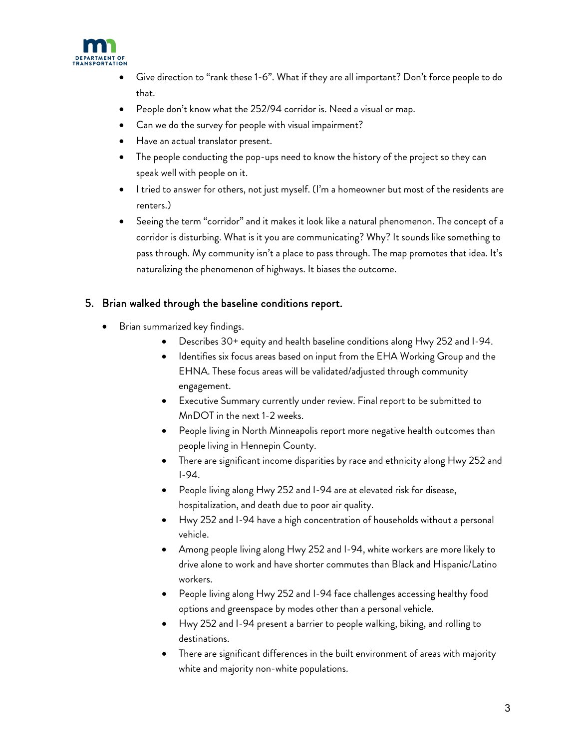

- Give direction to "rank these 1-6". What if they are all important? Don't force people to do that.
- People don't know what the 252/94 corridor is. Need a visual or map.
- Can we do the survey for people with visual impairment?
- Have an actual translator present.
- The people conducting the pop-ups need to know the history of the project so they can speak well with people on it.
- I tried to answer for others, not just myself. (I'm a homeowner but most of the residents are renters.)
- Seeing the term "corridor" and it makes it look like a natural phenomenon. The concept of a corridor is disturbing. What is it you are communicating? Why? It sounds like something to pass through. My community isn't a place to pass through. The map promotes that idea. It's naturalizing the phenomenon of highways. It biases the outcome.

#### 5. Brian walked through the baseline conditions report.

- Brian summarized key findings.
	- Describes 30+ equity and health baseline conditions along Hwy 252 and I-94.
	- Identifies six focus areas based on input from the EHA Working Group and the EHNA. These focus areas will be validated/adjusted through community engagement.
	- Executive Summary currently under review. Final report to be submitted to MnDOT in the next 1-2 weeks.
	- People living in North Minneapolis report more negative health outcomes than people living in Hennepin County.
	- There are significant income disparities by race and ethnicity along Hwy 252 and I-94.
	- People living along Hwy 252 and I-94 are at elevated risk for disease, hospitalization, and death due to poor air quality.
	- Hwy 252 and I-94 have a high concentration of households without a personal vehicle.
	- Among people living along Hwy 252 and I-94, white workers are more likely to drive alone to work and have shorter commutes than Black and Hispanic/Latino workers.
	- People living along Hwy 252 and I-94 face challenges accessing healthy food options and greenspace by modes other than a personal vehicle.
	- Hwy 252 and I-94 present a barrier to people walking, biking, and rolling to destinations.
	- There are significant differences in the built environment of areas with majority white and majority non-white populations.